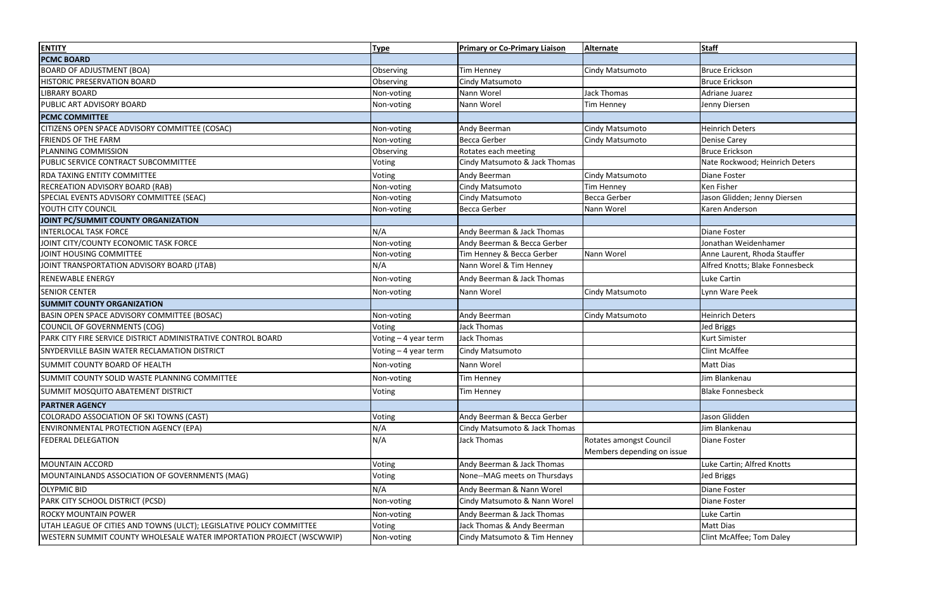| <b>ENTITY</b>                                                        | <b>Type</b>          | <b>Primary or Co-Primary Liaison</b> | <b>Alternate</b>           | <b>Staff</b>                    |
|----------------------------------------------------------------------|----------------------|--------------------------------------|----------------------------|---------------------------------|
| <b>PCMC BOARD</b>                                                    |                      |                                      |                            |                                 |
| <b>BOARD OF ADJUSTMENT (BOA)</b>                                     | Observing            | <b>Tim Henney</b>                    | Cindy Matsumoto            | <b>Bruce Erickson</b>           |
| <b>HISTORIC PRESERVATION BOARD</b>                                   | Observing            | Cindy Matsumoto                      |                            | <b>Bruce Erickson</b>           |
| <b>LIBRARY BOARD</b>                                                 | Non-voting           | Nann Worel                           | <b>Jack Thomas</b>         | Adriane Juarez                  |
| PUBLIC ART ADVISORY BOARD                                            | Non-voting           | Nann Worel                           | Tim Henney                 | Jenny Diersen                   |
| <b>PCMC COMMITTEE</b>                                                |                      |                                      |                            |                                 |
| CITIZENS OPEN SPACE ADVISORY COMMITTEE (COSAC)                       | Non-voting           | Andy Beerman                         | Cindy Matsumoto            | <b>Heinrich Deters</b>          |
| <b>FRIENDS OF THE FARM</b>                                           | Non-voting           | <b>Becca Gerber</b>                  | Cindy Matsumoto            | <b>Denise Carey</b>             |
| PLANNING COMMISSION                                                  | Observing            | Rotates each meeting                 |                            | <b>Bruce Erickson</b>           |
| PUBLIC SERVICE CONTRACT SUBCOMMITTEE                                 | Voting               | Cindy Matsumoto & Jack Thomas        |                            | Nate Rockwood; Heinrich Deters  |
| <b>RDA TAXING ENTITY COMMITTEE</b>                                   | Voting               | Andy Beerman                         | Cindy Matsumoto            | Diane Foster                    |
| RECREATION ADVISORY BOARD (RAB)                                      | Non-voting           | Cindy Matsumoto                      | <b>Tim Henney</b>          | Ken Fisher                      |
| SPECIAL EVENTS ADVISORY COMMITTEE (SEAC)                             | Non-voting           | Cindy Matsumoto                      | <b>Becca Gerber</b>        | Jason Glidden; Jenny Diersen    |
| YOUTH CITY COUNCIL                                                   | Non-voting           | <b>Becca Gerber</b>                  | Nann Worel                 | Karen Anderson                  |
| JOINT PC/SUMMIT COUNTY ORGANIZATION                                  |                      |                                      |                            |                                 |
| <b>INTERLOCAL TASK FORCE</b>                                         | N/A                  | Andy Beerman & Jack Thomas           |                            | Diane Foster                    |
| JOINT CITY/COUNTY ECONOMIC TASK FORCE                                | Non-voting           | Andy Beerman & Becca Gerber          |                            | Jonathan Weidenhamer            |
| JOINT HOUSING COMMITTEE                                              | Non-voting           | Tim Henney & Becca Gerber            | Nann Worel                 | Anne Laurent, Rhoda Stauffer    |
| JOINT TRANSPORTATION ADVISORY BOARD (JTAB)                           | N/A                  | Nann Worel & Tim Henney              |                            | Alfred Knotts; Blake Fonnesbeck |
| <b>RENEWABLE ENERGY</b>                                              | Non-voting           | Andy Beerman & Jack Thomas           |                            | Luke Cartin                     |
| <b>SENIOR CENTER</b>                                                 | Non-voting           | Nann Worel                           | Cindy Matsumoto            | Lynn Ware Peek                  |
| <b>SUMMIT COUNTY ORGANIZATION</b>                                    |                      |                                      |                            |                                 |
| BASIN OPEN SPACE ADVISORY COMMITTEE (BOSAC)                          | Non-voting           | Andy Beerman                         | Cindy Matsumoto            | <b>Heinrich Deters</b>          |
| COUNCIL OF GOVERNMENTS (COG)                                         | Voting               | Jack Thomas                          |                            | <b>Jed Briggs</b>               |
| PARK CITY FIRE SERVICE DISTRICT ADMINISTRATIVE CONTROL BOARD         | Voting - 4 year term | Jack Thomas                          |                            | <b>Kurt Simister</b>            |
| SNYDERVILLE BASIN WATER RECLAMATION DISTRICT                         | Voting - 4 year term | <b>Cindy Matsumoto</b>               |                            | <b>Clint McAffee</b>            |
| SUMMIT COUNTY BOARD OF HEALTH                                        | Non-voting           | Nann Worel                           |                            | <b>Matt Dias</b>                |
| SUMMIT COUNTY SOLID WASTE PLANNING COMMITTEE                         | Non-voting           | <b>Tim Henney</b>                    |                            | Jim Blankenau                   |
| <b>SUMMIT MOSQUITO ABATEMENT DISTRICT</b>                            | Voting               | <b>Tim Henney</b>                    |                            | <b>Blake Fonnesbeck</b>         |
| <b>PARTNER AGENCY</b>                                                |                      |                                      |                            |                                 |
| COLORADO ASSOCIATION OF SKI TOWNS (CAST)                             | Voting               | Andy Beerman & Becca Gerber          |                            | Jason Glidden                   |
| ENVIRONMENTAL PROTECTION AGENCY (EPA)                                | N/A                  | Cindy Matsumoto & Jack Thomas        |                            | Jim Blankenau                   |
| <b>FEDERAL DELEGATION</b>                                            | N/A                  | Jack Thomas                          | Rotates amongst Council    | Diane Foster                    |
|                                                                      |                      |                                      | Members depending on issue |                                 |
| MOUNTAIN ACCORD                                                      | Voting               | Andy Beerman & Jack Thomas           |                            | Luke Cartin; Alfred Knotts      |
| MOUNTAINLANDS ASSOCIATION OF GOVERNMENTS (MAG)                       | Voting               | None--MAG meets on Thursdays         |                            | <b>Jed Briggs</b>               |
| <b>OLYPMIC BID</b>                                                   | N/A                  | Andy Beerman & Nann Worel            |                            | Diane Foster                    |
| PARK CITY SCHOOL DISTRICT (PCSD)                                     | Non-voting           | Cindy Matsumoto & Nann Worel         |                            | Diane Foster                    |
| ROCKY MOUNTAIN POWER                                                 | Non-voting           | Andy Beerman & Jack Thomas           |                            | <b>Luke Cartin</b>              |
| UTAH LEAGUE OF CITIES AND TOWNS (ULCT); LEGISLATIVE POLICY COMMITTEE | Voting               | Jack Thomas & Andy Beerman           |                            | <b>Matt Dias</b>                |
| WESTERN SUMMIT COUNTY WHOLESALE WATER IMPORTATION PROJECT (WSCWWIP)  | Non-voting           | Cindy Matsumoto & Tim Henney         |                            | Clint McAffee; Tom Daley        |